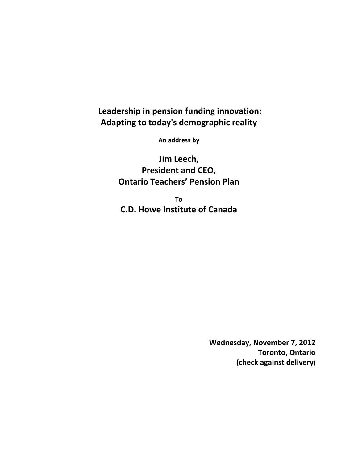## **Leadership in pension funding innovation: Adapting to today's demographic reality**

**An address by**

**Jim Leech, President and CEO, Ontario Teachers' Pension Plan**

**To C.D. Howe Institute of Canada**

> **Wednesday, November 7, 2012 Toronto, Ontario (check against delivery)**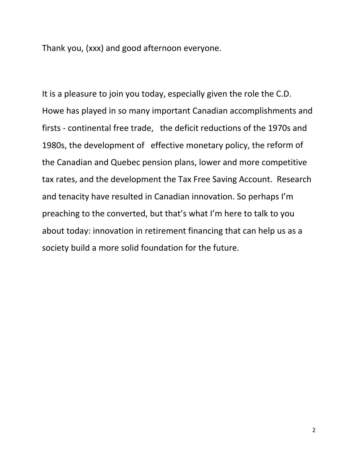Thank you, (xxx) and good afternoon everyone.

It is a pleasure to join you today, especially given the role the C.D. Howe has played in so many important Canadian accomplishments and firsts ‐ continental free trade, the deficit reductions of the 1970s and 1980s, the development of effective monetary policy, the reform of the Canadian and Quebec pension plans, lower and more competitive tax rates, and the development the Tax Free Saving Account. Research and tenacity have resulted in Canadian innovation. So perhaps I'm preaching to the converted, but that's what I'm here to talk to you about today: innovation in retirement financing that can help us as a society build a more solid foundation for the future.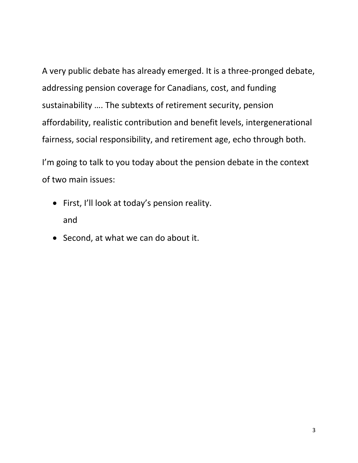A very public debate has already emerged. It is a three‐pronged debate, addressing pension coverage for Canadians, cost, and funding sustainability …. The subtexts of retirement security, pension affordability, realistic contribution and benefit levels, intergenerational fairness, social responsibility, and retirement age, echo through both.

I'm going to talk to you today about the pension debate in the context of two main issues:

- First, I'll look at today's pension reality. and
- Second, at what we can do about it.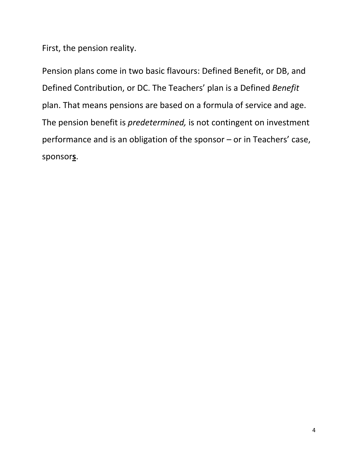First, the pension reality.

Pension plans come in two basic flavours: Defined Benefit, or DB, and Defined Contribution, or DC. The Teachers' plan is a Defined *Benefit* plan. That means pensions are based on a formula of service and age. The pension benefit is *predetermined,* is not contingent on investment performance and is an obligation of the sponsor – or in Teachers' case, sponsor**s**.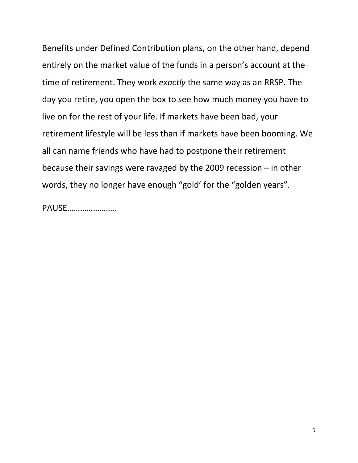Benefits under Defined Contribution plans, on the other hand, depend entirely on the market value of the funds in a person's account at the time of retirement. They work *exactly* the same way as an RRSP. The day you retire, you open the box to see how much money you have to live on for the rest of your life. If markets have been bad, your retirement lifestyle will be less than if markets have been booming. We all can name friends who have had to postpone their retirement because their savings were ravaged by the 2009 recession – in other words, they no longer have enough "gold' for the "golden years".

PAUSE…………………..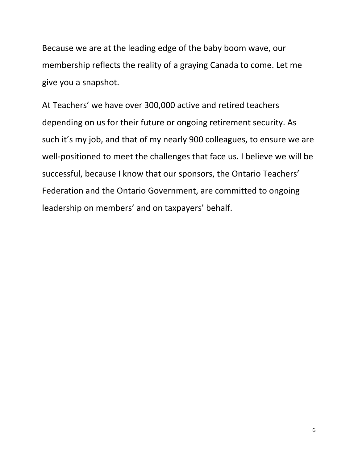Because we are at the leading edge of the baby boom wave, our membership reflects the reality of a graying Canada to come. Let me give you a snapshot.

At Teachers' we have over 300,000 active and retired teachers depending on us for their future or ongoing retirement security. As such it's my job, and that of my nearly 900 colleagues, to ensure we are well-positioned to meet the challenges that face us. I believe we will be successful, because I know that our sponsors, the Ontario Teachers' Federation and the Ontario Government, are committed to ongoing leadership on members' and on taxpayers' behalf.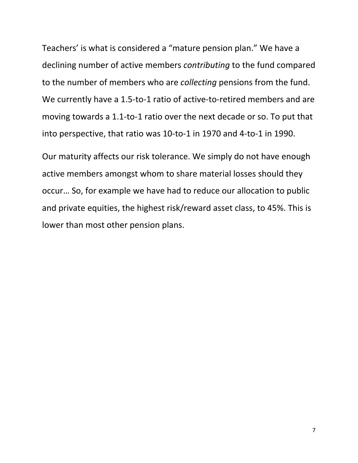Teachers' is what is considered a "mature pension plan." We have a declining number of active members *contributing* to the fund compared to the number of members who are *collecting* pensions from the fund. We currently have a 1.5-to-1 ratio of active-to-retired members and are moving towards a 1.1‐to‐1 ratio over the next decade or so. To put that into perspective, that ratio was 10‐to‐1 in 1970 and 4‐to‐1 in 1990.

Our maturity affects our risk tolerance. We simply do not have enough active members amongst whom to share material losses should they occur… So, for example we have had to reduce our allocation to public and private equities, the highest risk/reward asset class, to 45%. This is lower than most other pension plans.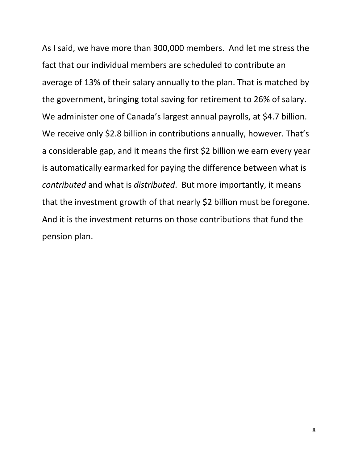As I said, we have more than 300,000 members. And let me stress the fact that our individual members are scheduled to contribute an average of 13% of their salary annually to the plan. That is matched by the government, bringing total saving for retirement to 26% of salary. We administer one of Canada's largest annual payrolls, at \$4.7 billion. We receive only \$2.8 billion in contributions annually, however. That's a considerable gap, and it means the first \$2 billion we earn every year is automatically earmarked for paying the difference between what is *contributed* and what is *distributed*. But more importantly, it means that the investment growth of that nearly \$2 billion must be foregone. And it is the investment returns on those contributions that fund the pension plan.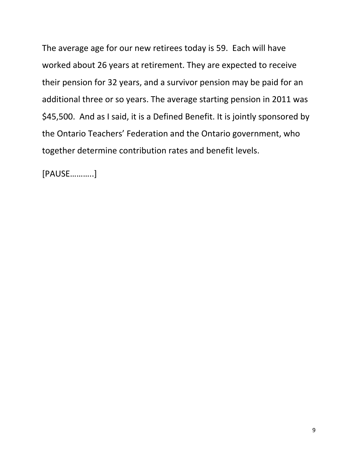The average age for our new retirees today is 59. Each will have worked about 26 years at retirement. They are expected to receive their pension for 32 years, and a survivor pension may be paid for an additional three or so years. The average starting pension in 2011 was \$45,500. And as I said, it is a Defined Benefit. It is jointly sponsored by the Ontario Teachers' Federation and the Ontario government, who together determine contribution rates and benefit levels.

[PAUSE………..]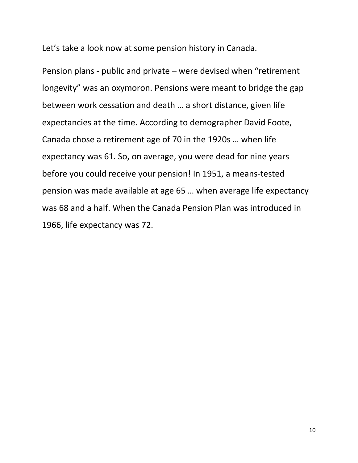Let's take a look now at some pension history in Canada.

Pension plans ‐ public and private – were devised when "retirement longevity" was an oxymoron. Pensions were meant to bridge the gap between work cessation and death … a short distance, given life expectancies at the time. According to demographer David Foote, Canada chose a retirement age of 70 in the 1920s … when life expectancy was 61. So, on average, you were dead for nine years before you could receive your pension! In 1951, a means‐tested pension was made available at age 65 … when average life expectancy was 68 and a half. When the Canada Pension Plan was introduced in 1966, life expectancy was 72.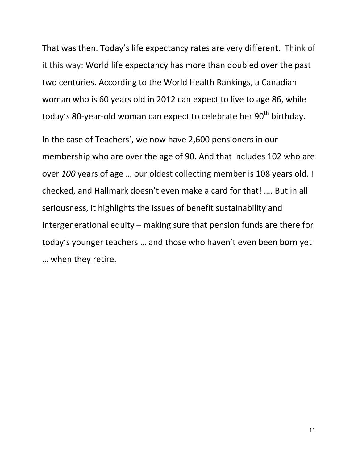That was then. Today's life expectancy rates are very different. Think of it this way: World life expectancy has more than doubled over the past two centuries. According to the World Health Rankings, a Canadian woman who is 60 years old in 2012 can expect to live to age 86, while today's 80-year-old woman can expect to celebrate her 90<sup>th</sup> birthday.

In the case of Teachers', we now have 2,600 pensioners in our membership who are over the age of 90. And that includes 102 who are over *100* years of age … our oldest collecting member is 108 years old. I checked, and Hallmark doesn't even make a card for that! …. But in all seriousness, it highlights the issues of benefit sustainability and intergenerational equity – making sure that pension funds are there for today's younger teachers … and those who haven't even been born yet … when they retire.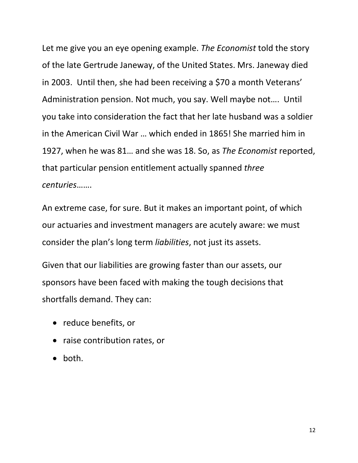Let me give you an eye opening example. *The Economist* told the story of the late Gertrude Janeway, of the United States. Mrs. Janeway died in 2003. Until then, she had been receiving a \$70 a month Veterans' Administration pension. Not much, you say. Well maybe not…. Until you take into consideration the fact that her late husband was a soldier in the American Civil War … which ended in 1865! She married him in 1927, when he was 81… and she was 18. So, as *The Economist* reported, that particular pension entitlement actually spanned *three centuries*…….

An extreme case, for sure. But it makes an important point, of which our actuaries and investment managers are acutely aware: we must consider the plan's long term *liabilities*, not just its assets.

Given that our liabilities are growing faster than our assets, our sponsors have been faced with making the tough decisions that shortfalls demand. They can:

- reduce benefits, or
- raise contribution rates, or
- $\bullet$  both.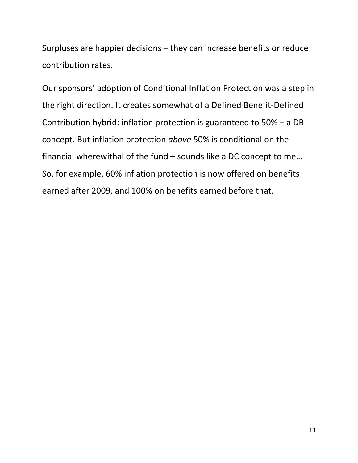Surpluses are happier decisions – they can increase benefits or reduce contribution rates.

Our sponsors' adoption of Conditional Inflation Protection was a step in the right direction. It creates somewhat of a Defined Benefit‐Defined Contribution hybrid: inflation protection is guaranteed to 50% – a DB concept. But inflation protection *above* 50% is conditional on the financial wherewithal of the fund – sounds like a DC concept to me… So, for example, 60% inflation protection is now offered on benefits earned after 2009, and 100% on benefits earned before that.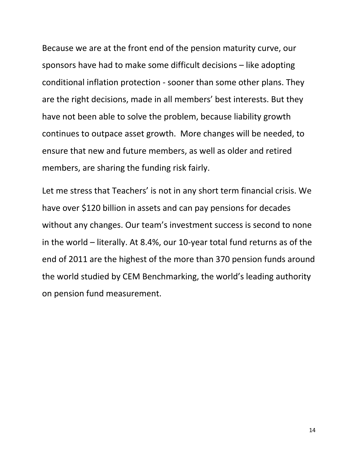Because we are at the front end of the pension maturity curve, our sponsors have had to make some difficult decisions – like adopting conditional inflation protection ‐ sooner than some other plans. They are the right decisions, made in all members' best interests. But they have not been able to solve the problem, because liability growth continues to outpace asset growth. More changes will be needed, to ensure that new and future members, as well as older and retired members, are sharing the funding risk fairly.

Let me stress that Teachers' is not in any short term financial crisis. We have over \$120 billion in assets and can pay pensions for decades without any changes. Our team's investment success is second to none in the world – literally. At 8.4%, our 10‐year total fund returns as of the end of 2011 are the highest of the more than 370 pension funds around the world studied by CEM Benchmarking, the world's leading authority on pension fund measurement.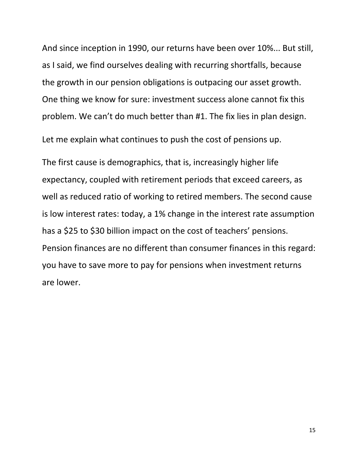And since inception in 1990, our returns have been over 10%... But still, as I said, we find ourselves dealing with recurring shortfalls, because the growth in our pension obligations is outpacing our asset growth. One thing we know for sure: investment success alone cannot fix this problem. We can't do much better than #1. The fix lies in plan design.

Let me explain what continues to push the cost of pensions up.

The first cause is demographics, that is, increasingly higher life expectancy, coupled with retirement periods that exceed careers, as well as reduced ratio of working to retired members. The second cause is low interest rates: today, a 1% change in the interest rate assumption has a \$25 to \$30 billion impact on the cost of teachers' pensions. Pension finances are no different than consumer finances in this regard: you have to save more to pay for pensions when investment returns are lower.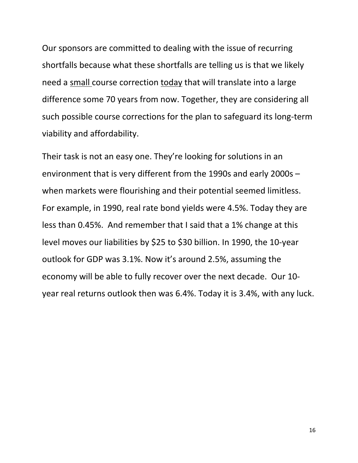Our sponsors are committed to dealing with the issue of recurring shortfalls because what these shortfalls are telling us is that we likely need a small course correction today that will translate into a large difference some 70 years from now. Together, they are considering all such possible course corrections for the plan to safeguard its long‐term viability and affordability.

Their task is not an easy one. They're looking for solutions in an environment that is very different from the 1990s and early 2000s – when markets were flourishing and their potential seemed limitless. For example, in 1990, real rate bond yields were 4.5%. Today they are less than 0.45%. And remember that I said that a 1% change at this level moves our liabilities by \$25 to \$30 billion. In 1990, the 10‐year outlook for GDP was 3.1%. Now it's around 2.5%, assuming the economy will be able to fully recover over the next decade. Our 10‐ year real returns outlook then was 6.4%. Today it is 3.4%, with any luck.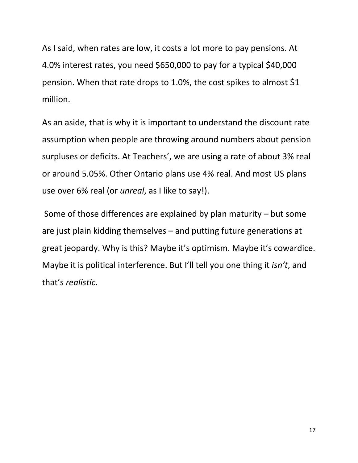As I said, when rates are low, it costs a lot more to pay pensions. At 4.0% interest rates, you need \$650,000 to pay for a typical \$40,000 pension. When that rate drops to 1.0%, the cost spikes to almost \$1 million.

As an aside, that is why it is important to understand the discount rate assumption when people are throwing around numbers about pension surpluses or deficits. At Teachers', we are using a rate of about 3% real or around 5.05%. Other Ontario plans use 4% real. And most US plans use over 6% real (or *unreal*, as I like to say!).

Some of those differences are explained by plan maturity – but some are just plain kidding themselves – and putting future generations at great jeopardy. Why is this? Maybe it's optimism. Maybe it's cowardice. Maybe it is political interference. But I'll tell you one thing it *isn't*, and that's *realistic*.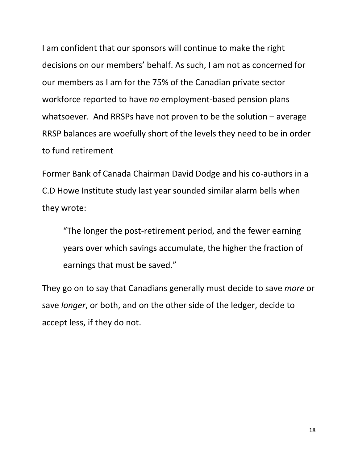I am confident that our sponsors will continue to make the right decisions on our members' behalf. As such, I am not as concerned for our members as I am for the 75% of the Canadian private sector workforce reported to have *no* employment‐based pension plans whatsoever. And RRSPs have not proven to be the solution – average RRSP balances are woefully short of the levels they need to be in order to fund retirement

Former Bank of Canada Chairman David Dodge and his co‐authors in a C.D Howe Institute study last year sounded similar alarm bells when they wrote:

"The longer the post‐retirement period, and the fewer earning years over which savings accumulate, the higher the fraction of earnings that must be saved."

They go on to say that Canadians generally must decide to save *more* or save *longer*, or both, and on the other side of the ledger, decide to accept less, if they do not.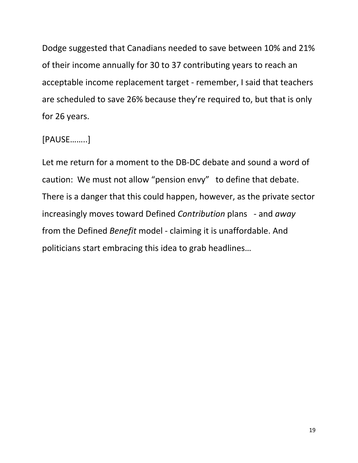Dodge suggested that Canadians needed to save between 10% and 21% of their income annually for 30 to 37 contributing years to reach an acceptable income replacement target ‐ remember, I said that teachers are scheduled to save 26% because they're required to, but that is only for 26 years.

## [PAUSE……..]

Let me return for a moment to the DB‐DC debate and sound a word of caution: We must not allow "pension envy" to define that debate. There is a danger that this could happen, however, as the private sector increasingly moves toward Defined *Contribution* plans ‐ and *away* from the Defined *Benefit* model ‐ claiming it is unaffordable. And politicians start embracing this idea to grab headlines…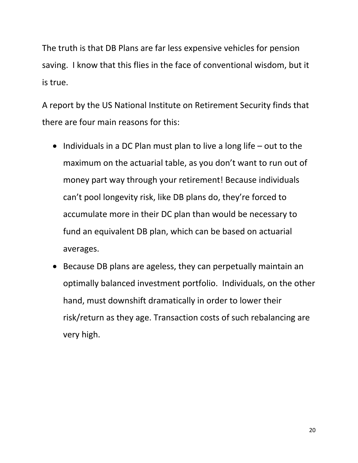The truth is that DB Plans are far less expensive vehicles for pension saving. I know that this flies in the face of conventional wisdom, but it is true.

A report by the US National Institute on Retirement Security finds that there are four main reasons for this:

- $\bullet$  Individuals in a DC Plan must plan to live a long life out to the maximum on the actuarial table, as you don't want to run out of money part way through your retirement! Because individuals can't pool longevity risk, like DB plans do, they're forced to accumulate more in their DC plan than would be necessary to fund an equivalent DB plan, which can be based on actuarial averages.
- Because DB plans are ageless, they can perpetually maintain an optimally balanced investment portfolio. Individuals, on the other hand, must downshift dramatically in order to lower their risk/return as they age. Transaction costs of such rebalancing are very high.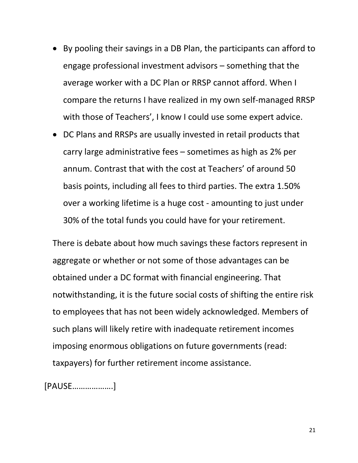- By pooling their savings in a DB Plan, the participants can afford to engage professional investment advisors – something that the average worker with a DC Plan or RRSP cannot afford. When I compare the returns I have realized in my own self‐managed RRSP with those of Teachers', I know I could use some expert advice.
- DC Plans and RRSPs are usually invested in retail products that carry large administrative fees – sometimes as high as 2% per annum. Contrast that with the cost at Teachers' of around 50 basis points, including all fees to third parties. The extra 1.50% over a working lifetime is a huge cost ‐ amounting to just under 30% of the total funds you could have for your retirement.

There is debate about how much savings these factors represent in aggregate or whether or not some of those advantages can be obtained under a DC format with financial engineering. That notwithstanding, it is the future social costs of shifting the entire risk to employees that has not been widely acknowledged. Members of such plans will likely retire with inadequate retirement incomes imposing enormous obligations on future governments (read: taxpayers) for further retirement income assistance.

[PAUSE……………….]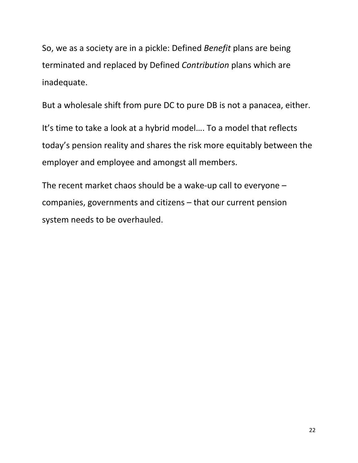So, we as a society are in a pickle: Defined *Benefit* plans are being terminated and replaced by Defined *Contribution* plans which are inadequate.

But a wholesale shift from pure DC to pure DB is not a panacea, either.

It's time to take a look at a hybrid model…. To a model that reflects today's pension reality and shares the risk more equitably between the employer and employee and amongst all members.

The recent market chaos should be a wake‐up call to everyone – companies, governments and citizens – that our current pension system needs to be overhauled.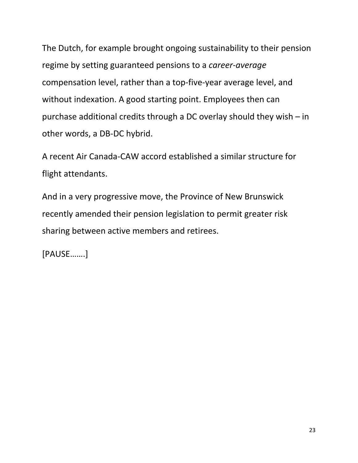The Dutch, for example brought ongoing sustainability to their pension regime by setting guaranteed pensions to a *career‐average* compensation level, rather than a top‐five‐year average level, and without indexation. A good starting point. Employees then can purchase additional credits through a DC overlay should they wish – in other words, a DB‐DC hybrid.

A recent Air Canada‐CAW accord established a similar structure for flight attendants.

And in a very progressive move, the Province of New Brunswick recently amended their pension legislation to permit greater risk sharing between active members and retirees.

[PAUSE…….]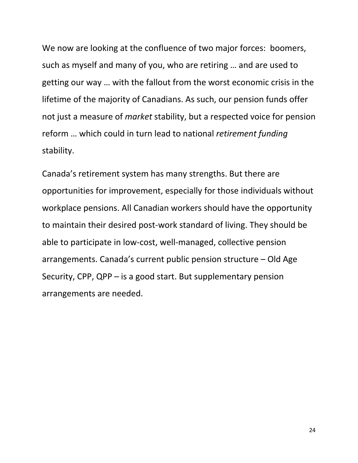We now are looking at the confluence of two major forces: boomers, such as myself and many of you, who are retiring … and are used to getting our way … with the fallout from the worst economic crisis in the lifetime of the majority of Canadians. As such, our pension funds offer not just a measure of *market* stability, but a respected voice for pension reform … which could in turn lead to national *retirement funding* stability.

Canada's retirement system has many strengths. But there are opportunities for improvement, especially for those individuals without workplace pensions. All Canadian workers should have the opportunity to maintain their desired post‐work standard of living. They should be able to participate in low‐cost, well‐managed, collective pension arrangements. Canada's current public pension structure – Old Age Security, CPP, QPP – is a good start. But supplementary pension arrangements are needed.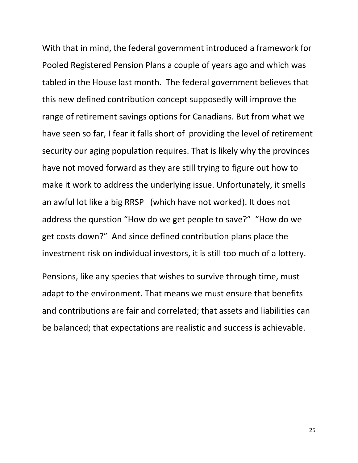With that in mind, the federal government introduced a framework for Pooled Registered Pension Plans a couple of years ago and which was tabled in the House last month. The federal government believes that this new defined contribution concept supposedly will improve the range of retirement savings options for Canadians. But from what we have seen so far, I fear it falls short of providing the level of retirement security our aging population requires. That is likely why the provinces have not moved forward as they are still trying to figure out how to make it work to address the underlying issue. Unfortunately, it smells an awful lot like a big RRSP (which have not worked). It does not address the question "How do we get people to save?" "How do we get costs down?" And since defined contribution plans place the investment risk on individual investors, it is still too much of a lottery. Pensions, like any species that wishes to survive through time, must adapt to the environment. That means we must ensure that benefits

and contributions are fair and correlated; that assets and liabilities can be balanced; that expectations are realistic and success is achievable.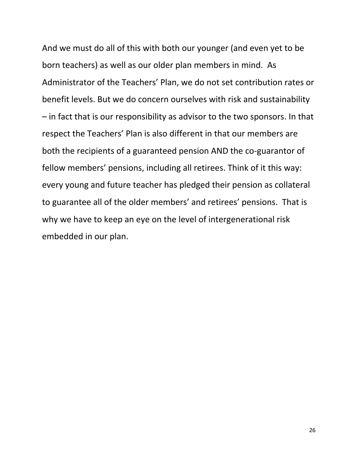And we must do all of this with both our younger (and even yet to be born teachers) as well as our older plan members in mind. As Administrator of the Teachers' Plan, we do not set contribution rates or benefit levels. But we do concern ourselves with risk and sustainability – in fact that is our responsibility as advisor to the two sponsors. In that respect the Teachers' Plan is also different in that our members are both the recipients of a guaranteed pension AND the co‐guarantor of fellow members' pensions, including all retirees. Think of it this way: every young and future teacher has pledged their pension as collateral to guarantee all of the older members' and retirees' pensions. That is why we have to keep an eye on the level of intergenerational risk embedded in our plan.